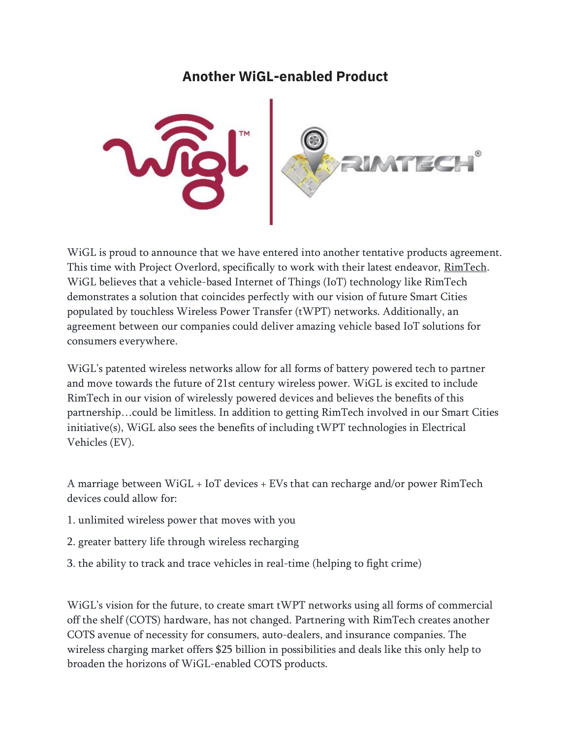## **Another WiGL-enabled Product**



WiGL is proud to announce that we have entered into another tentative products agreement. This time with Project Overlord, specifically to work with their latest endeavor, [RimTech.](https://www.startengine.com/rimtech) WiGL believes that a vehicle-based Internet of Things (IoT) technology like RimTech demonstrates a solution that coincides perfectly with our vision of future Smart Cities populated by touchless Wireless Power Transfer (tWPT) networks. Additionally, an agreement between our companies could deliver amazing vehicle based IoT solutions for consumers everywhere.

WiGL's patented wireless networks allow for all forms of battery powered tech to partner and move towards the future of 21st century wireless power. WiGL is excited to include RimTech in our vision of wirelessly powered devices and believes the benefits of this partnership…could be limitless. In addition to getting RimTech involved in our Smart Cities initiative(s), WiGL also sees the benefits of including tWPT technologies in Electrical Vehicles (EV).

A marriage between WiGL + IoT devices + EVs that can recharge and/or power RimTech devices could allow for:

- 1. unlimited wireless power that moves with you
- 2. greater battery life through wireless recharging
- 3. the ability to track and trace vehicles in real-time (helping to fight crime)

WiGL's vision for the future, to create smart tWPT networks using all forms of commercial off the shelf (COTS) hardware, has not changed. Partnering with RimTech creates another COTS avenue of necessity for consumers, auto-dealers, and insurance companies. The wireless charging market offers \$25 billion in possibilities and deals like this only help to broaden the horizons of WiGL-enabled COTS products.